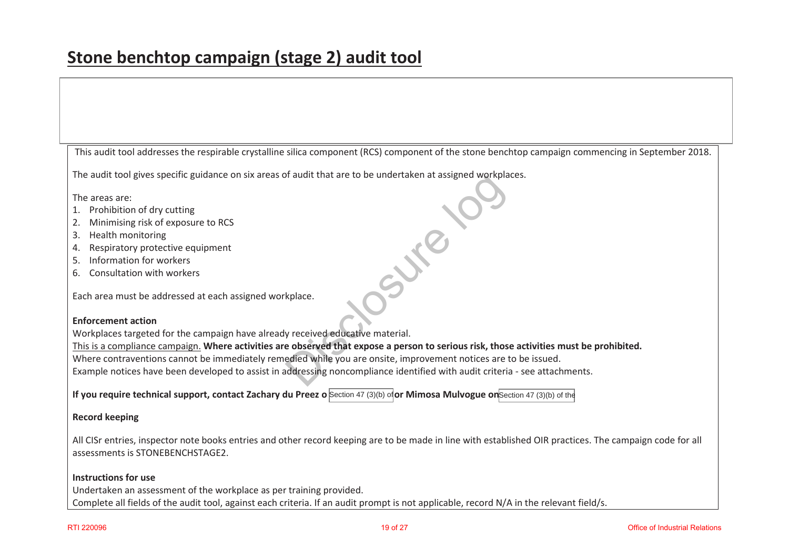This audit tool addresses the respirable crystalline silica component (RCS) component of the stone benchtop campaign commencing in September 2018.

The audit tool gives specific guidance on six areas of audit that are to be undertaken at assigned workplaces.

The areas are:

- 1. Prohibition of dry cutting
- 2. Minimising risk of exposure to RCS
- 3. Health monitoring
- 4. Respiratory protective equipment
- 5. Information for workers
- 6. Consultation with workers

Each area must be addressed at each assigned workplace.

## **Enforcement action**

Workplaces targeted for the campaign have already received educative material.

This is a compliance campaign. **Where activities are observed that expose a person to serious risk, those activities must be prohibited.** 

Where contraventions cannot be immediately remedied while you are onsite, improvement notices are to be issued.

Example notices have been developed to assist in addressing noncompliance identified with audit criteria - see attachments. Explanation and the total understand at assigned workplanary<br>
Explanation and the understandant at assigned workplanary<br>
exprecived educative material.<br>
Explore that expose a person to serious risk, those<br>
didentified with

**If you require technical support, contact Zachary du Preez o Section 47 (3)(b) of <b>or Mimosa Mulvogue on**Section 47 (3)(b) of the

## **Record keeping**

All CISr entries, inspector note books entries and other record keeping are to be made in line with established OIR practices. The campaign code for all assessments is STONEBENCHSTAGE2.

## **Instructions for use**

Undertaken an assessment of the workplace as per training provided. Complete all fields of the audit tool, against each criteria. If an audit prompt is not applicable, record N/A in the relevant field/s.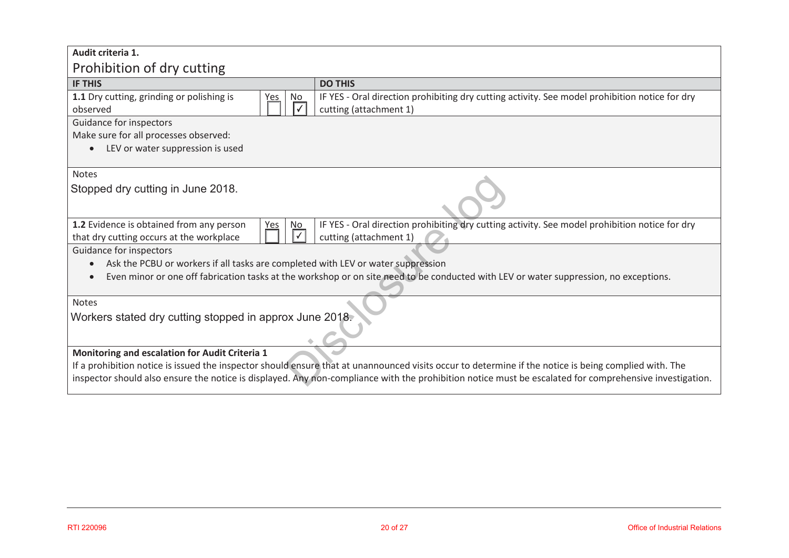| Audit criteria 1.                                                                                                                                       |                                                                                                                                                       |  |  |  |
|---------------------------------------------------------------------------------------------------------------------------------------------------------|-------------------------------------------------------------------------------------------------------------------------------------------------------|--|--|--|
| Prohibition of dry cutting                                                                                                                              |                                                                                                                                                       |  |  |  |
| <b>IF THIS</b>                                                                                                                                          | <b>DO THIS</b>                                                                                                                                        |  |  |  |
| 1.1 Dry cutting, grinding or polishing is<br>No<br><u>'es</u><br>observed                                                                               | IF YES - Oral direction prohibiting dry cutting activity. See model prohibition notice for dry<br>cutting (attachment 1)                              |  |  |  |
| Guidance for inspectors                                                                                                                                 |                                                                                                                                                       |  |  |  |
| Make sure for all processes observed:                                                                                                                   |                                                                                                                                                       |  |  |  |
| LEV or water suppression is used                                                                                                                        |                                                                                                                                                       |  |  |  |
| <b>Notes</b>                                                                                                                                            |                                                                                                                                                       |  |  |  |
| Stopped dry cutting in June 2018.                                                                                                                       |                                                                                                                                                       |  |  |  |
| 1.2 Evidence is obtained from any person<br>N <sub>o</sub><br><u>Yes</u><br>that dry cutting occurs at the workplace                                    | IF YES - Oral direction prohibiting dry cutting activity. See model prohibition notice for dry<br>cutting (attachment 1)                              |  |  |  |
| Guidance for inspectors                                                                                                                                 |                                                                                                                                                       |  |  |  |
| Ask the PCBU or workers if all tasks are completed with LEV or water suppression                                                                        |                                                                                                                                                       |  |  |  |
| Even minor or one off fabrication tasks at the workshop or on site need to be conducted with LEV or water suppression, no exceptions.                   |                                                                                                                                                       |  |  |  |
| Notes                                                                                                                                                   |                                                                                                                                                       |  |  |  |
| Workers stated dry cutting stopped in approx June 2018.                                                                                                 |                                                                                                                                                       |  |  |  |
|                                                                                                                                                         |                                                                                                                                                       |  |  |  |
| Monitoring and escalation for Audit Criteria 1                                                                                                          |                                                                                                                                                       |  |  |  |
|                                                                                                                                                         | If a prohibition notice is issued the inspector should ensure that at unannounced visits occur to determine if the notice is being complied with. The |  |  |  |
| inspector should also ensure the notice is displayed. Any non-compliance with the prohibition notice must be escalated for comprehensive investigation. |                                                                                                                                                       |  |  |  |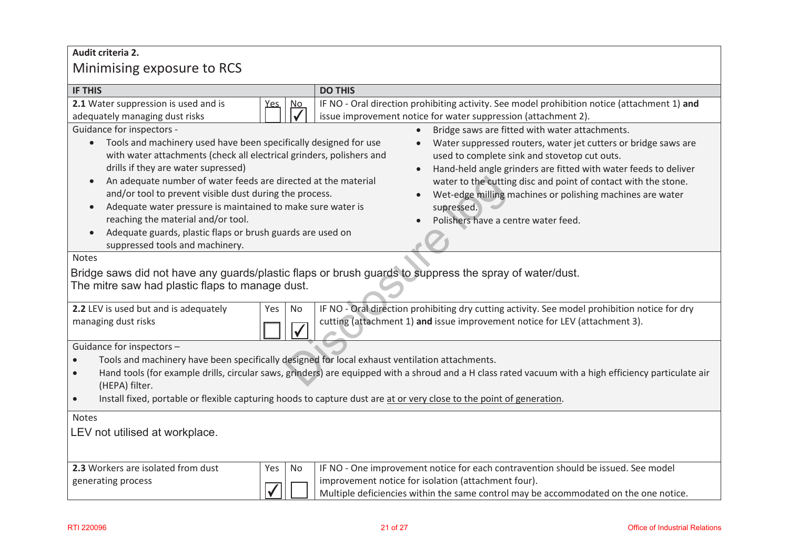# **Audit criteria 2.**  Minimising exposure to RCS

| <b>IF THIS</b>                                                                                                                                                                                                                                                                                                                                                                                                                                                                                                                                                                                                                                                                                                                                                                                                                                                                                                                                                                                                                                                                                                                              |                                                                                                                                                               |           | <b>DO THIS</b>                                                                                                                                                                                                                   |  |
|---------------------------------------------------------------------------------------------------------------------------------------------------------------------------------------------------------------------------------------------------------------------------------------------------------------------------------------------------------------------------------------------------------------------------------------------------------------------------------------------------------------------------------------------------------------------------------------------------------------------------------------------------------------------------------------------------------------------------------------------------------------------------------------------------------------------------------------------------------------------------------------------------------------------------------------------------------------------------------------------------------------------------------------------------------------------------------------------------------------------------------------------|---------------------------------------------------------------------------------------------------------------------------------------------------------------|-----------|----------------------------------------------------------------------------------------------------------------------------------------------------------------------------------------------------------------------------------|--|
| 2.1 Water suppression is used and is                                                                                                                                                                                                                                                                                                                                                                                                                                                                                                                                                                                                                                                                                                                                                                                                                                                                                                                                                                                                                                                                                                        |                                                                                                                                                               | No        | IF NO - Oral direction prohibiting activity. See model prohibition notice (attachment 1) and                                                                                                                                     |  |
| adequately managing dust risks                                                                                                                                                                                                                                                                                                                                                                                                                                                                                                                                                                                                                                                                                                                                                                                                                                                                                                                                                                                                                                                                                                              |                                                                                                                                                               |           | issue improvement notice for water suppression (attachment 2).                                                                                                                                                                   |  |
| Guidance for inspectors -<br>Bridge saws are fitted with water attachments.<br>Tools and machinery used have been specifically designed for use<br>Water suppressed routers, water jet cutters or bridge saws are<br>$\bullet$<br>with water attachments (check all electrical grinders, polishers and<br>used to complete sink and stovetop cut outs.<br>drills if they are water supressed)<br>Hand-held angle grinders are fitted with water feeds to deliver<br>An adequate number of water feeds are directed at the material<br>water to the cutting disc and point of contact with the stone.<br>$\bullet$<br>and/or tool to prevent visible dust during the process.<br>Wet-edge milling machines or polishing machines are water<br>Adequate water pressure is maintained to make sure water is<br>supressed.<br>$\bullet$<br>reaching the material and/or tool.<br>Polishers have a centre water feed.<br>Adequate guards, plastic flaps or brush guards are used on<br>suppressed tools and machinery.<br><b>Notes</b><br>Bridge saws did not have any guards/plastic flaps or brush guards to suppress the spray of water/dust. |                                                                                                                                                               |           |                                                                                                                                                                                                                                  |  |
| 2.2 LEV is used but and is adequately                                                                                                                                                                                                                                                                                                                                                                                                                                                                                                                                                                                                                                                                                                                                                                                                                                                                                                                                                                                                                                                                                                       | The mitre saw had plastic flaps to manage dust.<br>IF NO - Oral direction prohibiting dry cutting activity. See model prohibition notice for dry<br>No<br>Yes |           |                                                                                                                                                                                                                                  |  |
| managing dust risks<br>cutting (attachment 1) and issue improvement notice for LEV (attachment 3).                                                                                                                                                                                                                                                                                                                                                                                                                                                                                                                                                                                                                                                                                                                                                                                                                                                                                                                                                                                                                                          |                                                                                                                                                               |           |                                                                                                                                                                                                                                  |  |
| Guidance for inspectors -                                                                                                                                                                                                                                                                                                                                                                                                                                                                                                                                                                                                                                                                                                                                                                                                                                                                                                                                                                                                                                                                                                                   |                                                                                                                                                               |           |                                                                                                                                                                                                                                  |  |
| Tools and machinery have been specifically designed for local exhaust ventilation attachments.<br>Hand tools (for example drills, circular saws, grinders) are equipped with a shroud and a H class rated vacuum with a high efficiency particulate air<br>$\bullet$<br>(HEPA) filter.<br>Install fixed, portable or flexible capturing hoods to capture dust are at or very close to the point of generation.<br>$\bullet$                                                                                                                                                                                                                                                                                                                                                                                                                                                                                                                                                                                                                                                                                                                 |                                                                                                                                                               |           |                                                                                                                                                                                                                                  |  |
| <b>Notes</b><br>LEV not utilised at workplace.                                                                                                                                                                                                                                                                                                                                                                                                                                                                                                                                                                                                                                                                                                                                                                                                                                                                                                                                                                                                                                                                                              |                                                                                                                                                               |           |                                                                                                                                                                                                                                  |  |
| 2.3 Workers are isolated from dust<br>generating process                                                                                                                                                                                                                                                                                                                                                                                                                                                                                                                                                                                                                                                                                                                                                                                                                                                                                                                                                                                                                                                                                    | Yes                                                                                                                                                           | <b>No</b> | IF NO - One improvement notice for each contravention should be issued. See model<br>improvement notice for isolation (attachment four).<br>Multiple deficiencies within the same control may be accommodated on the one notice. |  |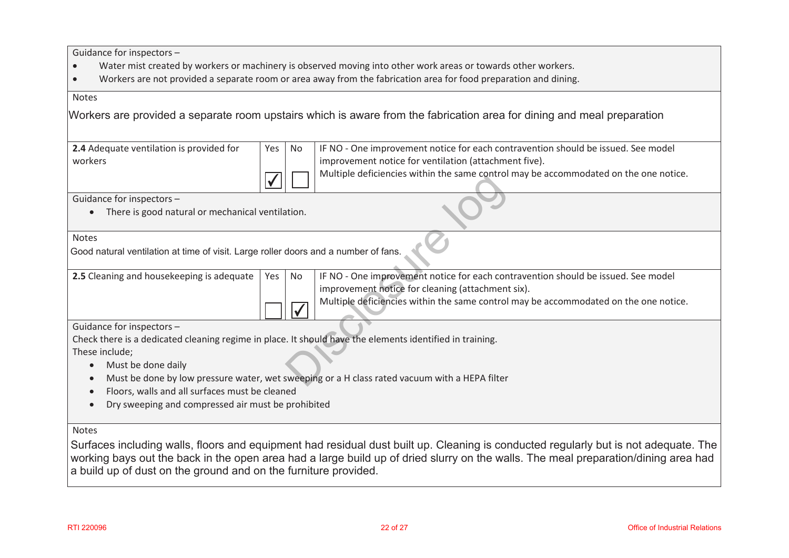Guidance for inspectors –

- $\bullet$ Water mist created by workers or machinery is observed moving into other work areas or towards other workers.
- $\bullet$ Workers are not provided a separate room or area away from the fabrication area for food preparation and dining.

#### Notes

Workers are provided <sup>a</sup> separate room upstairs which is aware from the fabrication area for dining and meal preparation

| <b>2.4</b> Adequate ventilation is provided for | Yes   No | IF NO - One improvement notice for each contravention should be issued. See model    |
|-------------------------------------------------|----------|--------------------------------------------------------------------------------------|
| workers                                         |          | I improvement notice for ventilation (attachment five).                              |
|                                                 |          | Multiple deficiencies within the same control may be accommodated on the one notice. |

## **Notes**

|                                                                                                          |     |              | manger achievements within the same control may be accommodated on the one notice.            |
|----------------------------------------------------------------------------------------------------------|-----|--------------|-----------------------------------------------------------------------------------------------|
| Guidance for inspectors -                                                                                |     |              |                                                                                               |
| There is good natural or mechanical ventilation.<br>$\bullet$                                            |     |              |                                                                                               |
| <b>Notes</b>                                                                                             |     |              |                                                                                               |
| Good natural ventilation at time of visit. Large roller doors and a number of fans.                      |     |              |                                                                                               |
| 2.5 Cleaning and housekeeping is adequate                                                                | Yes | No           | IF NO - One improvement notice for each contravention should be issued. See model             |
|                                                                                                          |     |              | improvement notice for cleaning (attachment six).                                             |
|                                                                                                          |     | $\checkmark$ | Multiple deficiencies within the same control may be accommodated on the one notice.          |
| Guidance for inspectors -                                                                                |     |              |                                                                                               |
| Check there is a dedicated cleaning regime in place. It should have the elements identified in training. |     |              |                                                                                               |
| These include;                                                                                           |     |              |                                                                                               |
| Must be done daily<br>$\bullet$                                                                          |     |              |                                                                                               |
|                                                                                                          |     |              | Must be done by low pressure water, wet sweeping or a H class rated vacuum with a HEPA filter |

- $\bullet$ Must be done daily
- $\bullet$ Must be done by low pressure water, wet sweeping or a H class rated vacuum with a HEPA filter
- $\bullet$ Floors, walls and all surfaces must be cleaned
- $\bullet$ Dry sweeping and compressed air must be prohibited

## Notes

Surfaces including walls, floors and equipment had residual dust built up. Cleaning is conducted regularly but is not adequate. The working bays out the back in the open area had <sup>a</sup> large build up of dried slurry on the walls. The meal preparation/dining area had <sup>a</sup> build up of dust on the ground and on the furniture provided.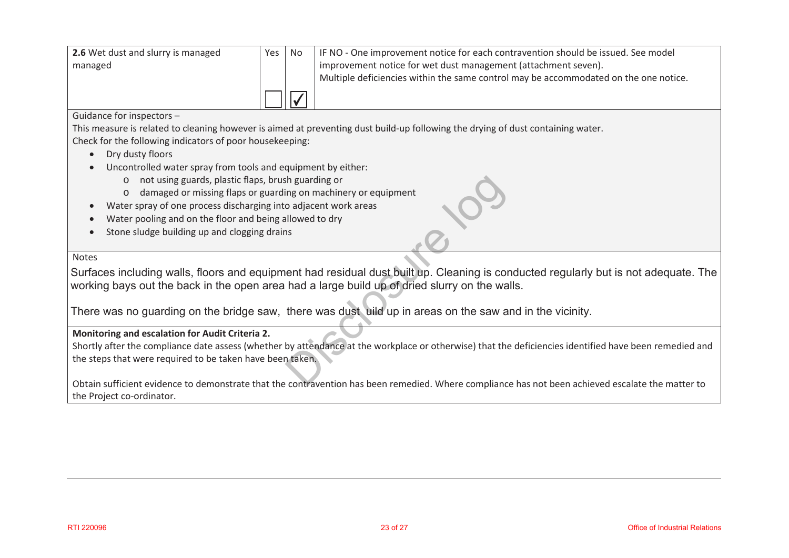| 2.6 Wet dust and slurry is managed | Yes I | No. | IF NO - One improvement notice for each contravention should be issued. See model    |
|------------------------------------|-------|-----|--------------------------------------------------------------------------------------|
| managed                            |       |     | improvement notice for wet dust management (attachment seven).                       |
|                                    |       |     | Multiple deficiencies within the same control may be accommodated on the one notice. |
|                                    |       |     |                                                                                      |

## Guidance for inspectors –

This measure is related to cleaning however is aimed at preventing dust build-up following the drying of dust containing water. Check for the following indicators of poor housekeeping:

- $\bullet$ Dry dusty floors
- $\bullet$  Uncontrolled water spray from tools and equipment by either:
	- o not using guards, plastic flaps, brush guarding or
	- o damaged or missing flaps or guarding on machinery or equipment
	- Water spray of one process discharging into adjacent work areas
- $\bullet$ Water pooling and on the floor and being allowed to dry
- $\bullet$ Stone sludge building up and clogging drains

#### Notes

 $\bullet$ 

Surfaces including walls, floors and equipment had residual dust built up. Cleaning is conducted regularly but is not adequate. The working bays out the back in the open area had <sup>a</sup> large build up of dried slurry on the walls. Sh guarding or<br>
ing on machinery or equipment<br>
o adjacent work areas<br>
Illowed to dry<br>
Is<br>
llowed to dry<br>
Is<br>
ent had residual dust built up. Cleaning is cor<br>
had a large build up of dried slurry on the was<br>
there was dust

There was no guarding on the bridge saw, there was dust uild up in areas on the saw and in the vicinity.

## **Monitoring and escalation for Audit Criteria 2.**

Shortly after the compliance date assess (whether by attendance at the workplace or otherwise) that the deficiencies identified have been remedied and the steps that were required to be taken have been taken.

Obtain sufficient evidence to demonstrate that the contravention has been remedied. Where compliance has not been achieved escalate the matter to the Project co-ordinator.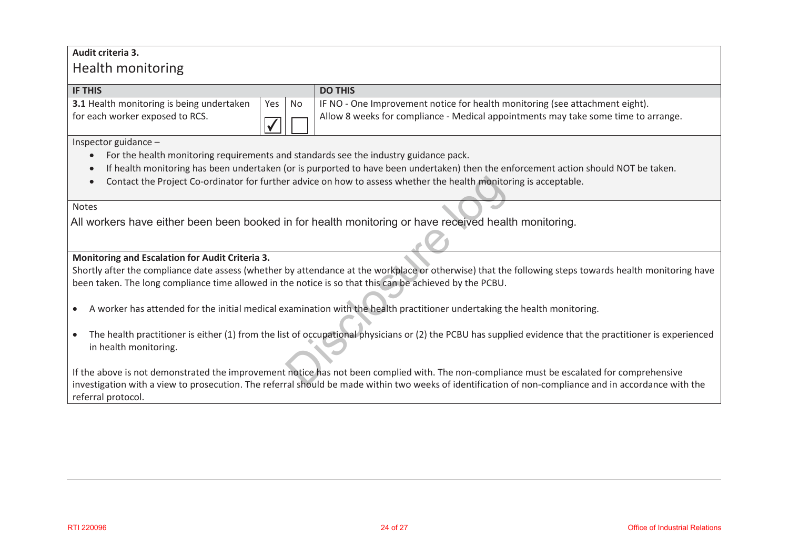## **Audit criteria 3.**

# Health monitoring

| <b>IF THIS</b>                            |        | <b>DO THIS</b>                                                                     |
|-------------------------------------------|--------|------------------------------------------------------------------------------------|
| 3.1 Health monitoring is being undertaken | Yes No | IF NO - One Improvement notice for health monitoring (see attachment eight).       |
| for each worker exposed to RCS.           |        | Allow 8 weeks for compliance - Medical appointments may take some time to arrange. |

Inspector guidance –

- $\bullet$ For the health monitoring requirements and standards see the industry guidance pack.
- $\bullet$ If health monitoring has been undertaken (or is purported to have been undertaken) then the enforcement action should NOT be taken.
- $\bullet$ Contact the Project Co-ordinator for further advice on how to assess whether the health monitoring is acceptable.

## Notes

All workers have either been been booked in for health monitoring or have received health monitoring.

## **Monitoring and Escalation for Audit Criteria 3.**

Shortly after the compliance date assess (whether by attendance at the workplace or otherwise) that the following steps towards health monitoring have been taken. The long compliance time allowed in the notice is so that this can be achieved by the PCBU.

- $\bullet$ A worker has attended for the initial medical examination with the health practitioner undertaking the health monitoring.
- The health practitioner is either (1) from the list of occupational physicians or (2) the PCBU has supplied evidence that the practitioner is experienced in health monitoring. In the health monitoring or have received health<br>in for health monitoring or have received health<br>by attendance at the workplace or otherwise) that the<br>he notice is so that this can be achieved by the PCBU.<br>xamination with

If the above is not demonstrated the improvement notice has not been complied with. The non-compliance must be escalated for comprehensive investigation with a view to prosecution. The referral should be made within two weeks of identification of non-compliance and in accordance with the referral protocol.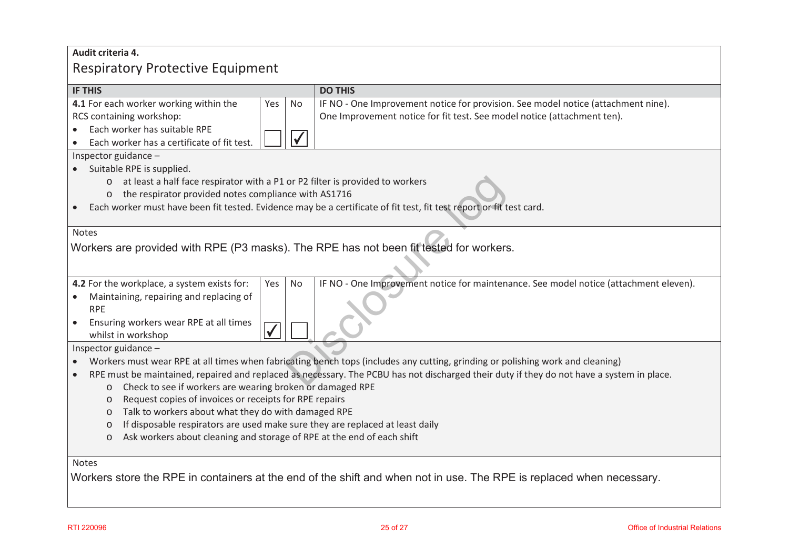# **Audit criteria 4.**  Respiratory Protective Equipment

| <b>IF THIS</b>                                                                                                                            | <b>DO THIS</b>                                                                                                                 |  |  |  |
|-------------------------------------------------------------------------------------------------------------------------------------------|--------------------------------------------------------------------------------------------------------------------------------|--|--|--|
| 4.1 For each worker working within the<br>Yes<br><b>No</b>                                                                                | IF NO - One Improvement notice for provision. See model notice (attachment nine).                                              |  |  |  |
| RCS containing workshop:                                                                                                                  | One Improvement notice for fit test. See model notice (attachment ten).                                                        |  |  |  |
| Each worker has suitable RPE<br>$\bullet$                                                                                                 |                                                                                                                                |  |  |  |
| $\checkmark$<br>Each worker has a certificate of fit test.                                                                                |                                                                                                                                |  |  |  |
| Inspector guidance -                                                                                                                      |                                                                                                                                |  |  |  |
| Suitable RPE is supplied.                                                                                                                 |                                                                                                                                |  |  |  |
| at least a half face respirator with a P1 or P2 filter is provided to workers<br>$\circ$                                                  |                                                                                                                                |  |  |  |
| the respirator provided notes compliance with AS1716<br>$\circ$                                                                           |                                                                                                                                |  |  |  |
|                                                                                                                                           | Each worker must have been fit tested. Evidence may be a certificate of fit test, fit test report or fit test card.            |  |  |  |
|                                                                                                                                           |                                                                                                                                |  |  |  |
| <b>Notes</b>                                                                                                                              |                                                                                                                                |  |  |  |
| Workers are provided with RPE (P3 masks). The RPE has not been fit tested for workers.                                                    |                                                                                                                                |  |  |  |
|                                                                                                                                           |                                                                                                                                |  |  |  |
|                                                                                                                                           |                                                                                                                                |  |  |  |
| 4.2 For the workplace, a system exists for:<br><b>No</b><br>Yes                                                                           | IF NO - One Improvement notice for maintenance. See model notice (attachment eleven).                                          |  |  |  |
| Maintaining, repairing and replacing of                                                                                                   |                                                                                                                                |  |  |  |
| <b>RPE</b>                                                                                                                                |                                                                                                                                |  |  |  |
| Ensuring workers wear RPE at all times<br>$\bullet$                                                                                       |                                                                                                                                |  |  |  |
| whilst in workshop                                                                                                                        |                                                                                                                                |  |  |  |
| Inspector guidance -                                                                                                                      |                                                                                                                                |  |  |  |
|                                                                                                                                           | Workers must wear RPE at all times when fabricating bench tops (includes any cutting, grinding or polishing work and cleaning) |  |  |  |
| RPE must be maintained, repaired and replaced as necessary. The PCBU has not discharged their duty if they do not have a system in place. |                                                                                                                                |  |  |  |
| Check to see if workers are wearing broken or damaged RPE<br>$\circ$                                                                      |                                                                                                                                |  |  |  |
| Request copies of invoices or receipts for RPE repairs<br>$\circ$                                                                         |                                                                                                                                |  |  |  |
| Talk to workers about what they do with damaged RPE<br>$\circ$                                                                            |                                                                                                                                |  |  |  |
| If disposable respirators are used make sure they are replaced at least daily<br>$\circ$                                                  |                                                                                                                                |  |  |  |
| Ask workers about cleaning and storage of RPE at the end of each shift<br>$\circ$                                                         |                                                                                                                                |  |  |  |
| Notes                                                                                                                                     |                                                                                                                                |  |  |  |
|                                                                                                                                           |                                                                                                                                |  |  |  |
|                                                                                                                                           | Workers store the RPE in containers at the end of the shift and when not in use. The RPE is replaced when necessary.           |  |  |  |
|                                                                                                                                           |                                                                                                                                |  |  |  |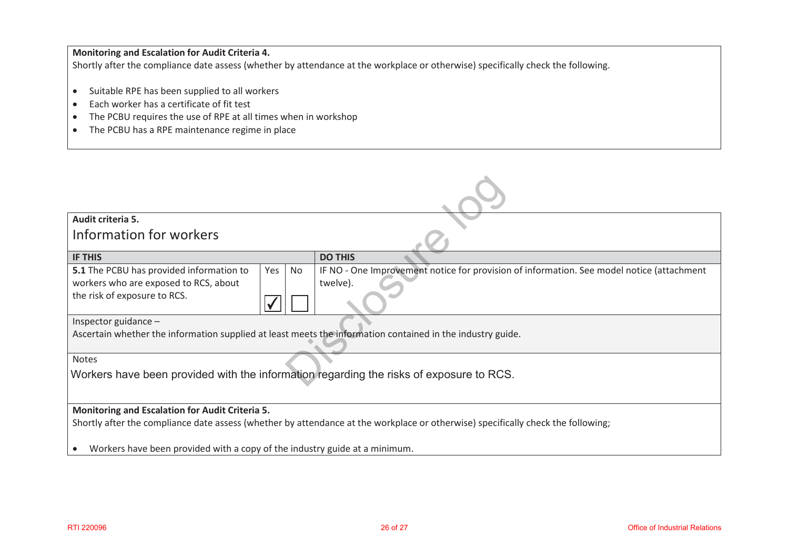## **Monitoring and Escalation for Audit Criteria 4.**

Shortly after the compliance date assess (whether by attendance at the workplace or otherwise) specifically check the following.

- $\bullet$ Suitable RPE has been supplied to all workers
- $\bullet$ Each worker has a certificate of fit test
- $\bullet$ The PCBU requires the use of RPE at all times when in workshop
- The PCBU has a RPE maintenance regime in place

| Audit criteria 5.                                                                                                                    |    |                                                                                           |  |
|--------------------------------------------------------------------------------------------------------------------------------------|----|-------------------------------------------------------------------------------------------|--|
| Information for workers                                                                                                              |    |                                                                                           |  |
| <b>IF THIS</b>                                                                                                                       |    | <b>DO THIS</b>                                                                            |  |
| 5.1 The PCBU has provided information to<br>Yes                                                                                      | No | IF NO - One Improvement notice for provision of information. See model notice (attachment |  |
| workers who are exposed to RCS, about                                                                                                |    | twelve).                                                                                  |  |
| the risk of exposure to RCS.                                                                                                         |    |                                                                                           |  |
| Inspector guidance $-$<br>Ascertain whether the information supplied at least meets the information contained in the industry guide. |    |                                                                                           |  |
|                                                                                                                                      |    |                                                                                           |  |
| <b>Notes</b>                                                                                                                         |    |                                                                                           |  |
| Workers have been provided with the information regarding the risks of exposure to RCS.                                              |    |                                                                                           |  |
|                                                                                                                                      |    |                                                                                           |  |
| Monitoring and Escalation for Audit Criteria 5.                                                                                      |    |                                                                                           |  |
| Shortly after the compliance date assess (whether by attendance at the workplace or otherwise) specifically check the following;     |    |                                                                                           |  |
| Workers have been provided with a copy of the industry guide at a minimum.                                                           |    |                                                                                           |  |